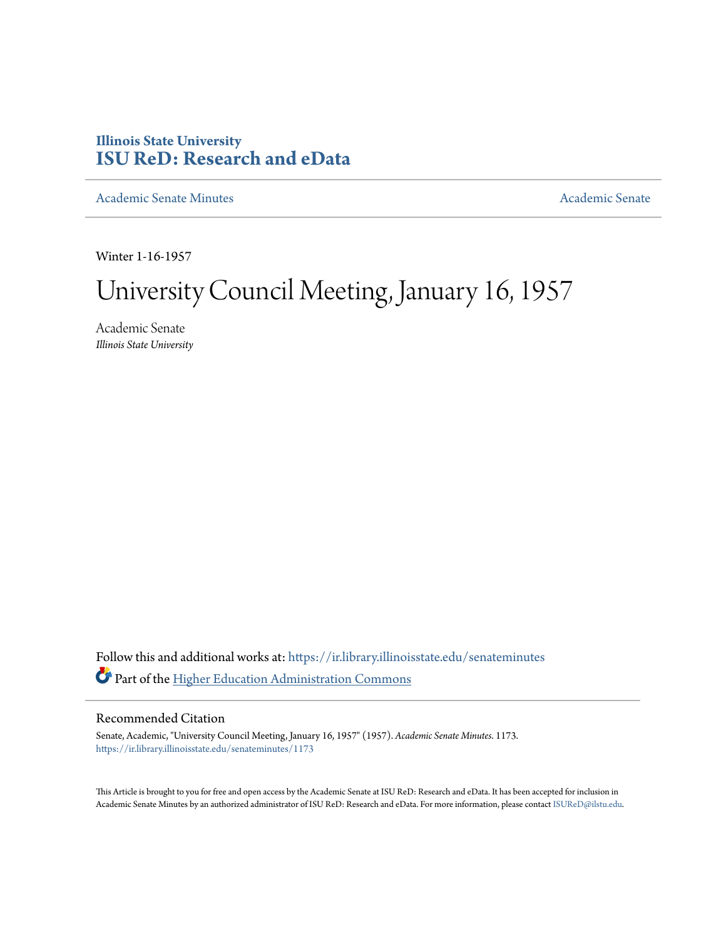## **Illinois State University [ISU ReD: Research and eData](https://ir.library.illinoisstate.edu?utm_source=ir.library.illinoisstate.edu%2Fsenateminutes%2F1173&utm_medium=PDF&utm_campaign=PDFCoverPages)**

[Academic Senate Minutes](https://ir.library.illinoisstate.edu/senateminutes?utm_source=ir.library.illinoisstate.edu%2Fsenateminutes%2F1173&utm_medium=PDF&utm_campaign=PDFCoverPages) [Academic Senate](https://ir.library.illinoisstate.edu/senate?utm_source=ir.library.illinoisstate.edu%2Fsenateminutes%2F1173&utm_medium=PDF&utm_campaign=PDFCoverPages) Academic Senate

Winter 1-16-1957

## University Council Meeting, January 16, 1957

Academic Senate *Illinois State University*

Follow this and additional works at: [https://ir.library.illinoisstate.edu/senateminutes](https://ir.library.illinoisstate.edu/senateminutes?utm_source=ir.library.illinoisstate.edu%2Fsenateminutes%2F1173&utm_medium=PDF&utm_campaign=PDFCoverPages) Part of the [Higher Education Administration Commons](http://network.bepress.com/hgg/discipline/791?utm_source=ir.library.illinoisstate.edu%2Fsenateminutes%2F1173&utm_medium=PDF&utm_campaign=PDFCoverPages)

## Recommended Citation

Senate, Academic, "University Council Meeting, January 16, 1957" (1957). *Academic Senate Minutes*. 1173. [https://ir.library.illinoisstate.edu/senateminutes/1173](https://ir.library.illinoisstate.edu/senateminutes/1173?utm_source=ir.library.illinoisstate.edu%2Fsenateminutes%2F1173&utm_medium=PDF&utm_campaign=PDFCoverPages)

This Article is brought to you for free and open access by the Academic Senate at ISU ReD: Research and eData. It has been accepted for inclusion in Academic Senate Minutes by an authorized administrator of ISU ReD: Research and eData. For more information, please contact [ISUReD@ilstu.edu.](mailto:ISUReD@ilstu.edu)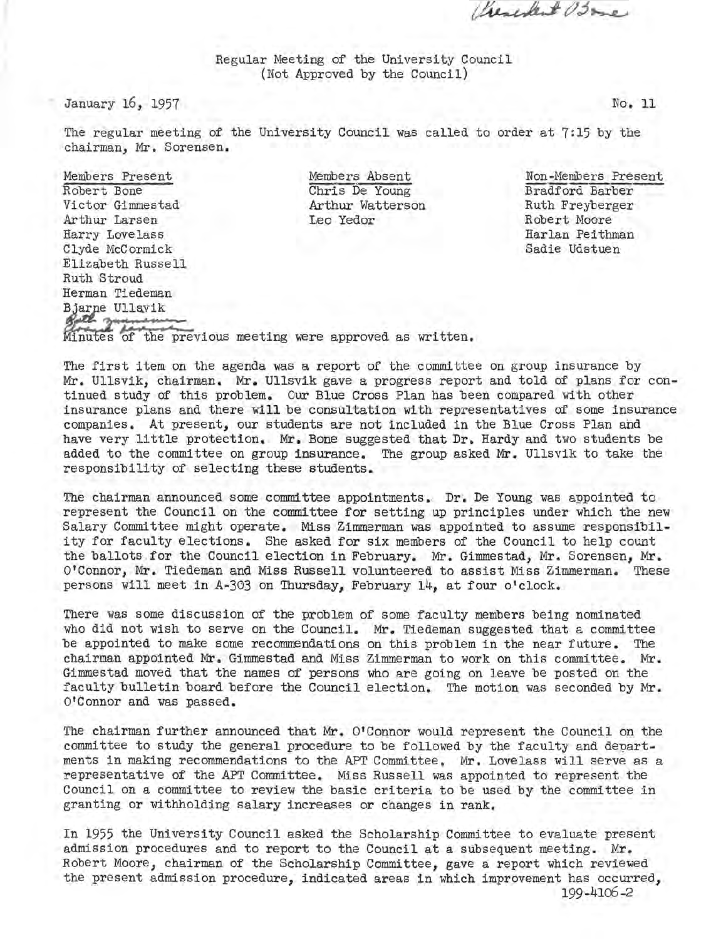Crescolent Osme

Regular Meeting of the University Council (Not Approved by the Council)

January 16, 1957

No. 11

The regular meeting of the University Council was called to order at 7:15 by the chairman, Mr. Sorensen.

Members Present Robert Bone Victor Gimmestad Arthur Larsen Harry Lovelass Clyde McCormick Elizabeth Russe 11 Ruth Stroud Herman Tiedeman<br>Bjarne Ullavik Bath zuman Winutes of the previous meeting were approved as written.

Members Absent Chris De Young Arthur Watterson Leo Yedor

Non-Members Present Bradford Barber Ruth Freyberger Robert Moore Harlan Peithman Sadie Udstuen

The first item on the agenda was a report of the committee on group insurance by Mr. Ullsvik, chairman. Mr. Ullsvik gave a progress report and told of plans for continued study of this problem. Our Blue Cross Plan has been compared with other insurance plans and there will be consultation with representatives of some insurance companies. At present, our students are not included in the Blue Cross Plan and have very little protection. Mr. Bone suggested that Dr. Hardy and two students be added to the committee on group insurance. The group asked Mr. Ullsvik to take the responsibility of selecting these students.

The chairman announced some committee appointments. Dr. De Young was appointed to r epresent the Council on the committee for setting up principles under which the new Salary Committee might operate. Miss Zimmerman was appointed to assume responsibility for faculty elections. She asked for six members of the Council to help count the ballots for the Council election in February. Mr. Gimmestad, Mr. Sorensen, Mr. O'Connor, Mr. Tiedeman and Miss Russell volunteered to assist Miss Zimmerman. These persons will meet in A-303 on Thursday, February 14, at four o'clock.

There was some discussion of the problem of some faculty members being nominated who did not wish to serve on the Council. Mr. Tiedeman suggested that a committee be appointed to make some recommendations on this problem in the near future. The chairman appointed Mr. Gimmestad and Miss Zimmerman to work on this committee. Mr. Gimmestad moved that the names of persons who are going on leave be posted on the faculty bulletin board before the Council election. The motion was seconded by Mr. O'Connor and was passed.

The chairman further announced that Mr. O'Connor would represent the Council on the committee to study the general procedure to be followed by the faculty and departments in making recommendations to the APT Committee. Mr. Lovelass will serve as a representative of the APT Committee. Miss Russell was appointed to represent the Council on a committee to review the basic criteria to be used by the committee in granting or withholding salary increases or changes in rank.

In 1955 the University Council asked the Scholarship Committee to evaluate present admission procedures and to report to the Council at a subsequent meeting. Mr. Robert Moore, chairman of the Scholarship Committee, gave a report which reviewed the present admission procedure, indicated areas in which improvement has occurred, 199-4106-2